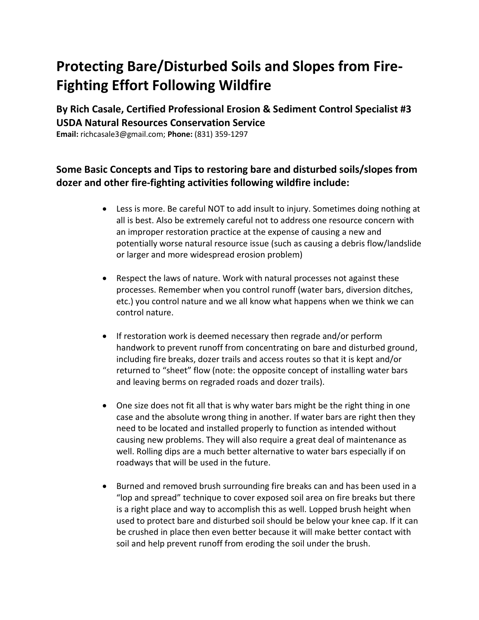## **Protecting Bare/Disturbed Soils and Slopes from Fire-Fighting Effort Following Wildfire**

**By Rich Casale, Certified Professional Erosion & Sediment Control Specialist #3 USDA Natural Resources Conservation Service** 

**Email:** richcasale3@gmail.com; **Phone:** (831) 359-1297

## **Some Basic Concepts and Tips to restoring bare and disturbed soils/slopes from dozer and other fire-fighting activities following wildfire include:**

- Less is more. Be careful NOT to add insult to injury. Sometimes doing nothing at all is best. Also be extremely careful not to address one resource concern with an improper restoration practice at the expense of causing a new and potentially worse natural resource issue (such as causing a debris flow/landslide or larger and more widespread erosion problem)
- Respect the laws of nature. Work with natural processes not against these processes. Remember when you control runoff (water bars, diversion ditches, etc.) you control nature and we all know what happens when we think we can control nature.
- If restoration work is deemed necessary then regrade and/or perform handwork to prevent runoff from concentrating on bare and disturbed ground, including fire breaks, dozer trails and access routes so that it is kept and/or returned to "sheet" flow (note: the opposite concept of installing water bars and leaving berms on regraded roads and dozer trails).
- One size does not fit all that is why water bars might be the right thing in one case and the absolute wrong thing in another. If water bars are right then they need to be located and installed properly to function as intended without causing new problems. They will also require a great deal of maintenance as well. Rolling dips are a much better alternative to water bars especially if on roadways that will be used in the future.
- Burned and removed brush surrounding fire breaks can and has been used in a "lop and spread" technique to cover exposed soil area on fire breaks but there is a right place and way to accomplish this as well. Lopped brush height when used to protect bare and disturbed soil should be below your knee cap. If it can be crushed in place then even better because it will make better contact with soil and help prevent runoff from eroding the soil under the brush.